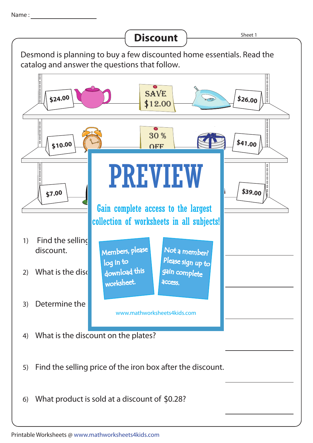